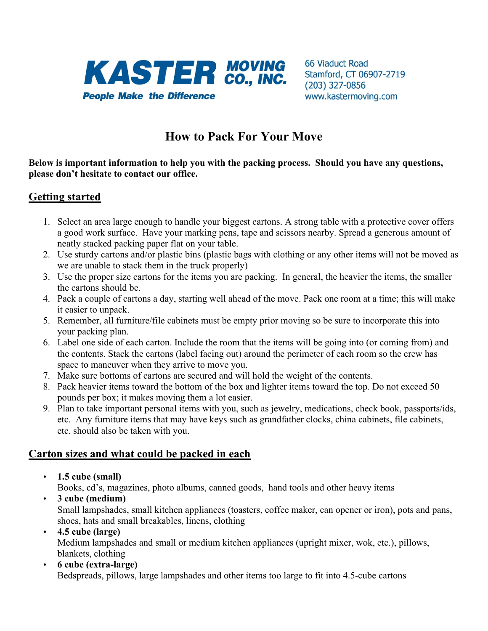

66 Viaduct Road Stamford, CT 06907-2719  $(203)$  327-0856 www.kastermoving.com

# **How to Pack For Your Move**

**Below is important information to help you with the packing process. Should you have any questions, please don't hesitate to contact our office.**

# **Getting started**

- 1. Select an area large enough to handle your biggest cartons. A strong table with a protective cover offers a good work surface. Have your marking pens, tape and scissors nearby. Spread a generous amount of neatly stacked packing paper flat on your table.
- 2. Use sturdy cartons and/or plastic bins (plastic bags with clothing or any other items will not be moved as we are unable to stack them in the truck properly)
- 3. Use the proper size cartons for the items you are packing. In general, the heavier the items, the smaller the cartons should be.
- 4. Pack a couple of cartons a day, starting well ahead of the move. Pack one room at a time; this will make it easier to unpack.
- 5. Remember, all furniture/file cabinets must be empty prior moving so be sure to incorporate this into your packing plan.
- 6. Label one side of each carton. Include the room that the items will be going into (or coming from) and the contents. Stack the cartons (label facing out) around the perimeter of each room so the crew has space to maneuver when they arrive to move you.
- 7. Make sure bottoms of cartons are secured and will hold the weight of the contents.
- 8. Pack heavier items toward the bottom of the box and lighter items toward the top. Do not exceed 50 pounds per box; it makes moving them a lot easier.
- 9. Plan to take important personal items with you, such as jewelry, medications, check book, passports/ids, etc. Any furniture items that may have keys such as grandfather clocks, china cabinets, file cabinets, etc. should also be taken with you.

### **Carton sizes and what could be packed in each**

• **1.5 cube (small)**

Books, cd's, magazines, photo albums, canned goods, hand tools and other heavy items

- **3 cube (medium)** Small lampshades, small kitchen appliances (toasters, coffee maker, can opener or iron), pots and pans, shoes, hats and small breakables, linens, clothing
- **4.5 cube (large)**  Medium lampshades and small or medium kitchen appliances (upright mixer, wok, etc.), pillows, blankets, clothing
- **6 cube (extra-large)** Bedspreads, pillows, large lampshades and other items too large to fit into 4.5-cube cartons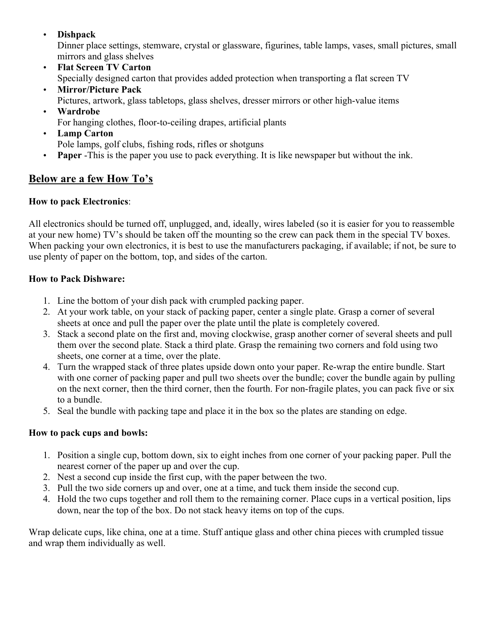### • **Dishpack**

Dinner place settings, stemware, crystal or glassware, figurines, table lamps, vases, small pictures, small mirrors and glass shelves

- **Flat Screen TV Carton** Specially designed carton that provides added protection when transporting a flat screen TV
- **Mirror/Picture Pack** Pictures, artwork, glass tabletops, glass shelves, dresser mirrors or other high-value items
- **Wardrobe** For hanging clothes, floor-to-ceiling drapes, artificial plants
- **Lamp Carton** Pole lamps, golf clubs, fishing rods, rifles or shotguns
- **Paper** -This is the paper you use to pack everything. It is like newspaper but without the ink.

# **Below are a few How To's**

### **How to pack Electronics**:

All electronics should be turned off, unplugged, and, ideally, wires labeled (so it is easier for you to reassemble at your new home) TV's should be taken off the mounting so the crew can pack them in the special TV boxes. When packing your own electronics, it is best to use the manufacturers packaging, if available; if not, be sure to use plenty of paper on the bottom, top, and sides of the carton.

### **How to Pack Dishware:**

- 1. Line the bottom of your dish pack with crumpled packing paper.
- 2. At your work table, on your stack of packing paper, center a single plate. Grasp a corner of several sheets at once and pull the paper over the plate until the plate is completely covered.
- 3. Stack a second plate on the first and, moving clockwise, grasp another corner of several sheets and pull them over the second plate. Stack a third plate. Grasp the remaining two corners and fold using two sheets, one corner at a time, over the plate.
- 4. Turn the wrapped stack of three plates upside down onto your paper. Re-wrap the entire bundle. Start with one corner of packing paper and pull two sheets over the bundle; cover the bundle again by pulling on the next corner, then the third corner, then the fourth. For non-fragile plates, you can pack five or six to a bundle.
- 5. Seal the bundle with packing tape and place it in the box so the plates are standing on edge.

# **How to pack cups and bowls:**

- 1. Position a single cup, bottom down, six to eight inches from one corner of your packing paper. Pull the nearest corner of the paper up and over the cup.
- 2. Nest a second cup inside the first cup, with the paper between the two.
- 3. Pull the two side corners up and over, one at a time, and tuck them inside the second cup.
- 4. Hold the two cups together and roll them to the remaining corner. Place cups in a vertical position, lips down, near the top of the box. Do not stack heavy items on top of the cups.

Wrap delicate cups, like china, one at a time. Stuff antique glass and other china pieces with crumpled tissue and wrap them individually as well.